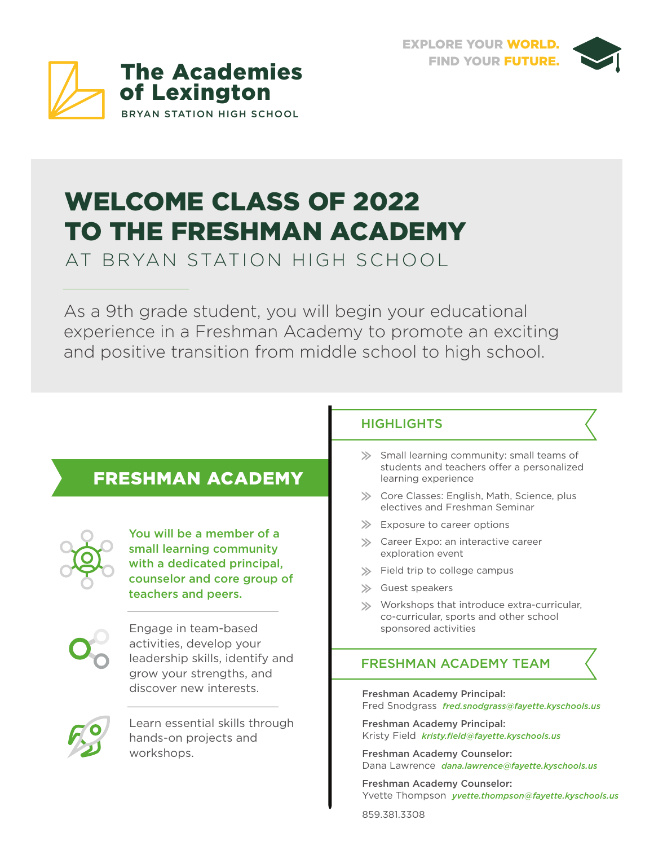



# WELCOME CLASS OF 2022 TO THE FRESHMAN ACADEMY

AT BRYAN STATION HIGH SCHOOL

As a 9th grade student, you will begin your educational experience in a Freshman Academy to promote an exciting and positive transition from middle school to high school.

## FRESHMAN ACADEMY



You will be a member of a small learning community with a dedicated principal, counselor and core group of teachers and peers.



Engage in team-based activities, develop your leadership skills, identify and grow your strengths, and discover new interests.



Learn essential skills through hands-on projects and workshops.

#### **HIGHLIGHTS**

- Small learning community: small teams of students and teachers offer a personalized learning experience
- State Classes: English, Math, Science, plus electives and Freshman Seminar
- $\gg$  Exposure to career options
- Stareer Expo: an interactive career exploration event
- $\gg$  Field trip to college campus
- Guest speakers
- Workshops that introduce extra-curricular, co-curricular, sports and other school sponsored activities

#### FRESHMAN ACADEMY TEAM

Freshman Academy Principal: Fred Snodgrass *fred.snodgrass@fayette.kyschools.us*

Freshman Academy Principal: Kristy Field *kristy.field@fayette.kyschools.us*

Freshman Academy Counselor: Dana Lawrence *dana.lawrence@fayette.kyschools.us*

Freshman Academy Counselor: Yvette Thompson *yvette.thompson@fayette.kyschools.us*

859.381.3308